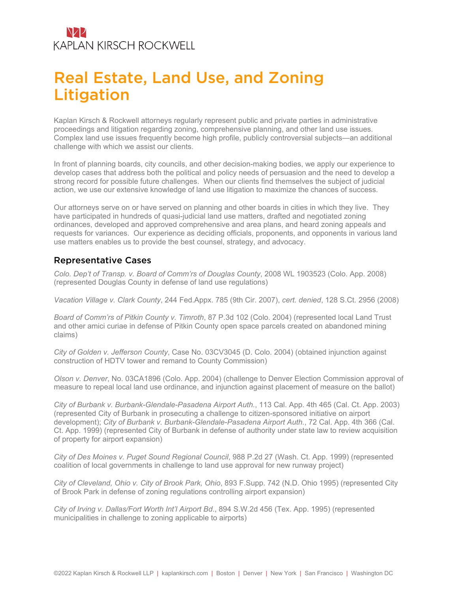### NZZ **KAPLAN KIRSCH ROCKWELL**

# Real Estate, Land Use, and Zoning Litigation

Kaplan Kirsch & Rockwell attorneys regularly represent public and private parties in administrative proceedings and litigation regarding zoning, comprehensive planning, and other land use issues. Complex land use issues frequently become high profile, publicly controversial subjects—an additional challenge with which we assist our clients.

In front of planning boards, city councils, and other decision-making bodies, we apply our experience to develop cases that address both the political and policy needs of persuasion and the need to develop a strong record for possible future challenges. When our clients find themselves the subject of judicial action, we use our extensive knowledge of land use litigation to maximize the chances of success.

Our attorneys serve on or have served on planning and other boards in cities in which they live. They have participated in hundreds of quasi-judicial land use matters, drafted and negotiated zoning ordinances, developed and approved comprehensive and area plans, and heard zoning appeals and requests for variances. Our experience as deciding officials, proponents, and opponents in various land use matters enables us to provide the best counsel, strategy, and advocacy.

#### Representative Cases

*Colo. Dep't of Transp. v. Board of Comm'rs of Douglas County*, 2008 WL 1903523 (Colo. App. 2008) (represented Douglas County in defense of land use regulations)

*Vacation Village v. Clark County*, 244 Fed.Appx. 785 (9th Cir. 2007), *cert. denied*, 128 S.Ct. 2956 (2008)

*Board of Comm'rs of Pitkin County v. Timroth*, 87 P.3d 102 (Colo. 2004) (represented local Land Trust and other amici curiae in defense of Pitkin County open space parcels created on abandoned mining claims)

*City of Golden v. Jefferson County*, Case No. 03CV3045 (D. Colo. 2004) (obtained injunction against construction of HDTV tower and remand to County Commission)

*Olson v. Denver*, No. 03CA1896 (Colo. App. 2004) (challenge to Denver Election Commission approval of measure to repeal local land use ordinance, and injunction against placement of measure on the ballot)

*City of Burbank v. Burbank-Glendale-Pasadena Airport Auth.*, 113 Cal. App. 4th 465 (Cal. Ct. App. 2003) (represented City of Burbank in prosecuting a challenge to citizen-sponsored initiative on airport development); *City of Burbank v. Burbank-Glendale-Pasadena Airport Auth.*, 72 Cal. App. 4th 366 (Cal. Ct. App. 1999) (represented City of Burbank in defense of authority under state law to review acquisition of property for airport expansion)

*City of Des Moines v. Puget Sound Regional Council*, 988 P.2d 27 (Wash. Ct. App. 1999) (represented coalition of local governments in challenge to land use approval for new runway project)

*City of Cleveland, Ohio v. City of Brook Park, Ohio*, 893 F.Supp. 742 (N.D. Ohio 1995) (represented City of Brook Park in defense of zoning regulations controlling airport expansion)

*City of Irving v. Dallas/Fort Worth Int'l Airport Bd*., 894 S.W.2d 456 (Tex. App. 1995) (represented municipalities in challenge to zoning applicable to airports)